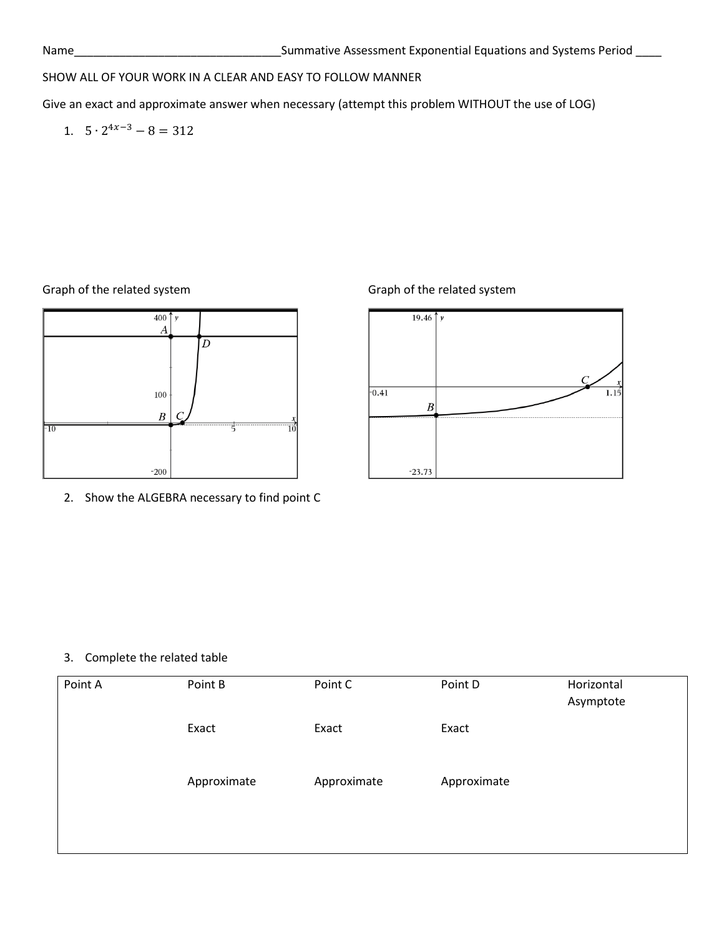## SHOW ALL OF YOUR WORK IN A CLEAR AND EASY TO FOLLOW MANNER

Give an exact and approximate answer when necessary (attempt this problem WITHOUT the use of LOG)

1.  $5 \cdot 2^{4x-3} - 8 = 312$ 

Graph of the related system Graph of the related system



2. Show the ALGEBRA necessary to find point C



#### 3. Complete the related table

| Point A | Point B     | Point C     | Point D     | Horizontal<br>Asymptote |
|---------|-------------|-------------|-------------|-------------------------|
|         | Exact       | Exact       | Exact       |                         |
|         | Approximate | Approximate | Approximate |                         |
|         |             |             |             |                         |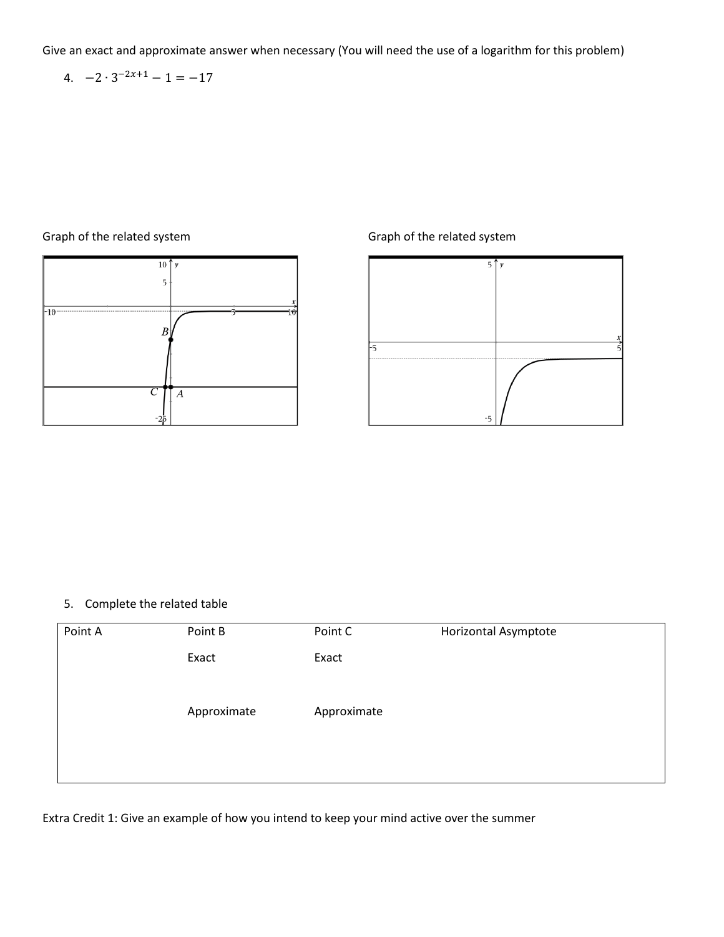4. 
$$
-2 \cdot 3^{-2x+1} - 1 = -17
$$

### Graph of the related system Graph of the related system





#### 5. Complete the related table

| Point A | Point B     | Point C     | Horizontal Asymptote |
|---------|-------------|-------------|----------------------|
|         | Exact       | Exact       |                      |
|         |             |             |                      |
|         | Approximate | Approximate |                      |
|         |             |             |                      |
|         |             |             |                      |
|         |             |             |                      |

Extra Credit 1: Give an example of how you intend to keep your mind active over the summer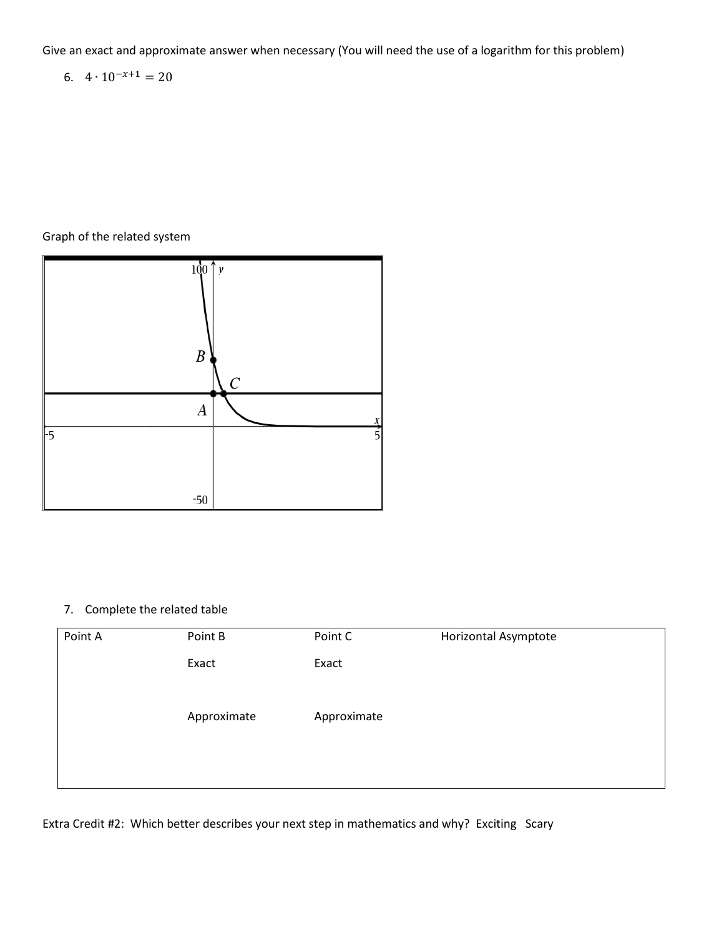6. 
$$
4 \cdot 10^{-x+1} = 20
$$

### Graph of the related system



# 7. Complete the related table

| Horizontal Asymptote | Point C     | Point B     | Point A |
|----------------------|-------------|-------------|---------|
|                      | Exact       | Exact       |         |
|                      |             |             |         |
|                      | Approximate | Approximate |         |
|                      |             |             |         |
|                      |             |             |         |
|                      |             |             |         |

Extra Credit #2: Which better describes your next step in mathematics and why? Exciting Scary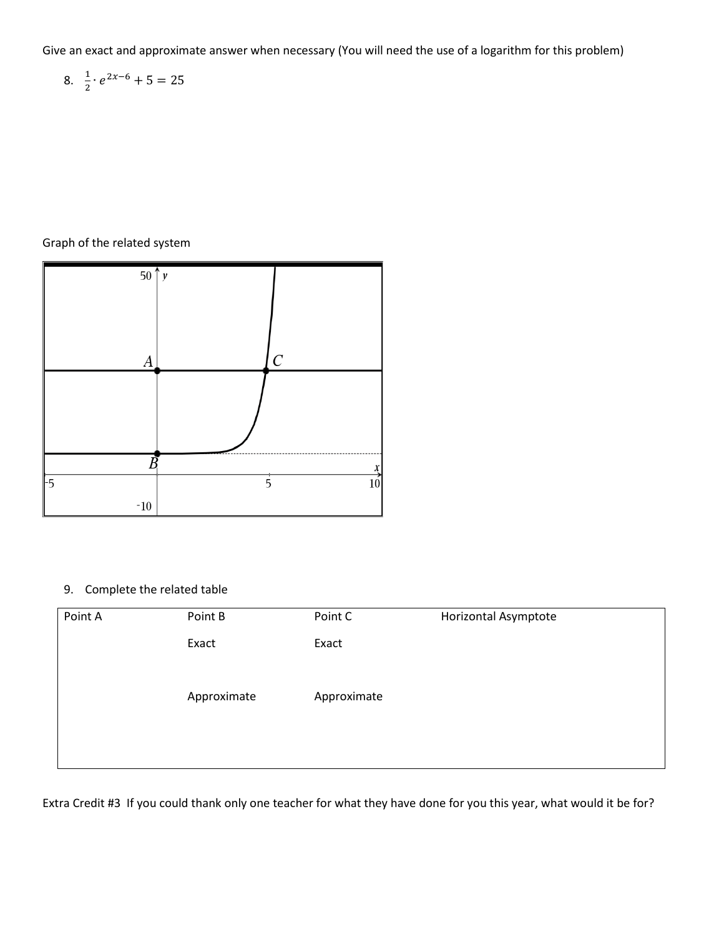8. 
$$
\frac{1}{2} \cdot e^{2x-6} + 5 = 25
$$

## Graph of the related system



# 9. Complete the related table

| Point A | Point B     | Point C     | Horizontal Asymptote |
|---------|-------------|-------------|----------------------|
|         | Exact       | Exact       |                      |
|         |             |             |                      |
|         | Approximate | Approximate |                      |
|         |             |             |                      |
|         |             |             |                      |
|         |             |             |                      |

Extra Credit #3 If you could thank only one teacher for what they have done for you this year, what would it be for?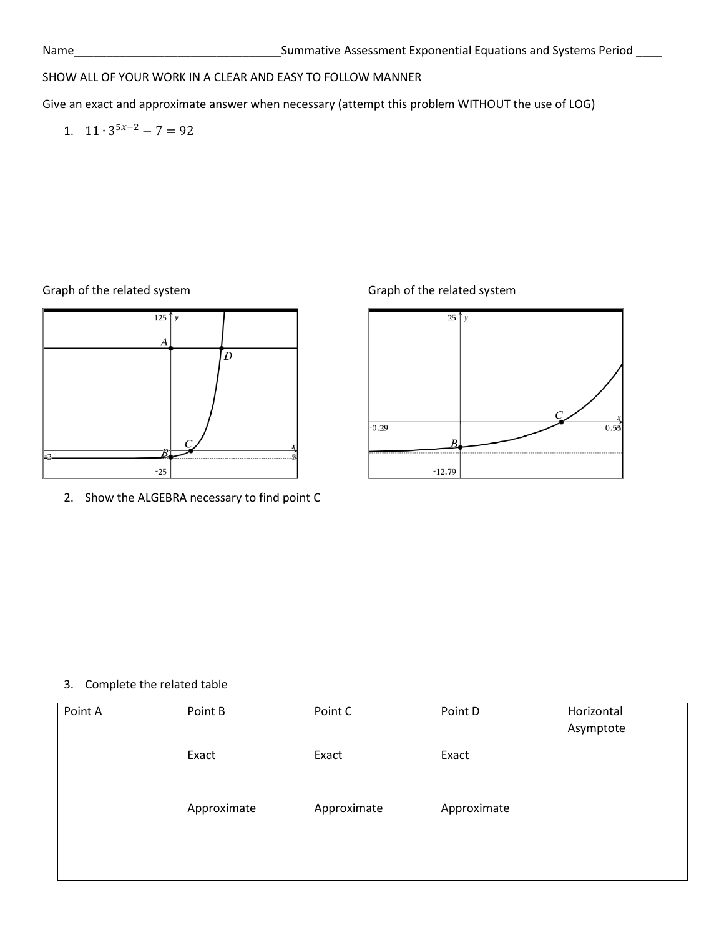## SHOW ALL OF YOUR WORK IN A CLEAR AND EASY TO FOLLOW MANNER

Give an exact and approximate answer when necessary (attempt this problem WITHOUT the use of LOG)

1.  $11 \cdot 3^{5x-2} - 7 = 92$ 



2. Show the ALGEBRA necessary to find point C

Graph of the related system Graph of the related system



#### 3. Complete the related table

| Point A | Point B     | Point C     | Point D     | Horizontal<br>Asymptote |
|---------|-------------|-------------|-------------|-------------------------|
|         | Exact       | Exact       | Exact       |                         |
|         | Approximate | Approximate | Approximate |                         |
|         |             |             |             |                         |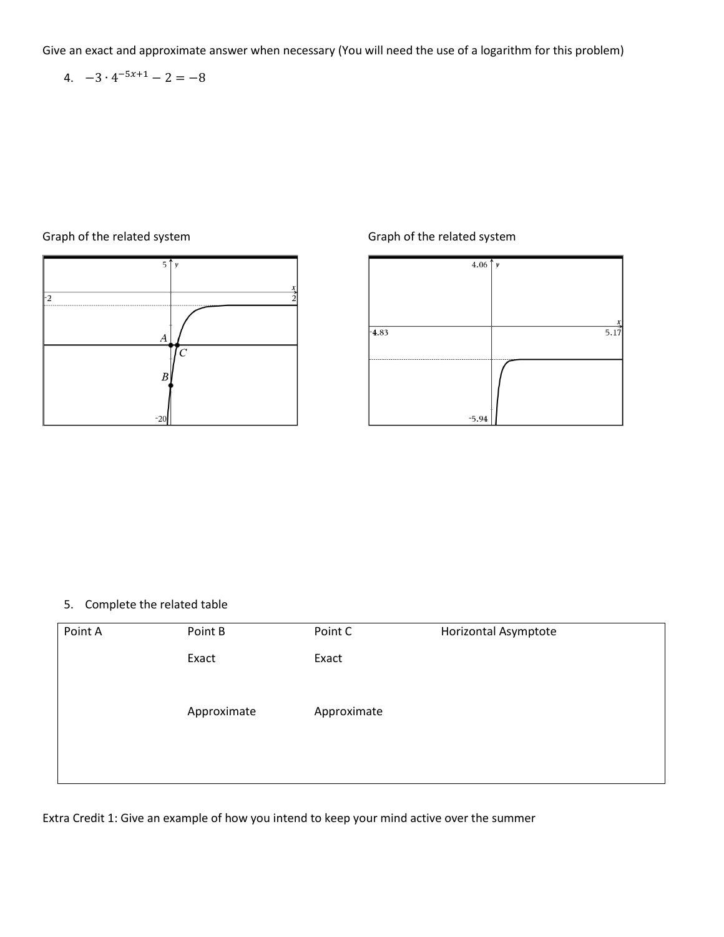4. 
$$
-3 \cdot 4^{-5x+1} - 2 = -8
$$

### Graph of the related system Graph of the related system





#### 5. Complete the related table

| Point A | Point B     | Point C     | Horizontal Asymptote |
|---------|-------------|-------------|----------------------|
|         | Exact       | Exact       |                      |
|         |             |             |                      |
|         | Approximate | Approximate |                      |
|         |             |             |                      |
|         |             |             |                      |
|         |             |             |                      |

Extra Credit 1: Give an example of how you intend to keep your mind active over the summer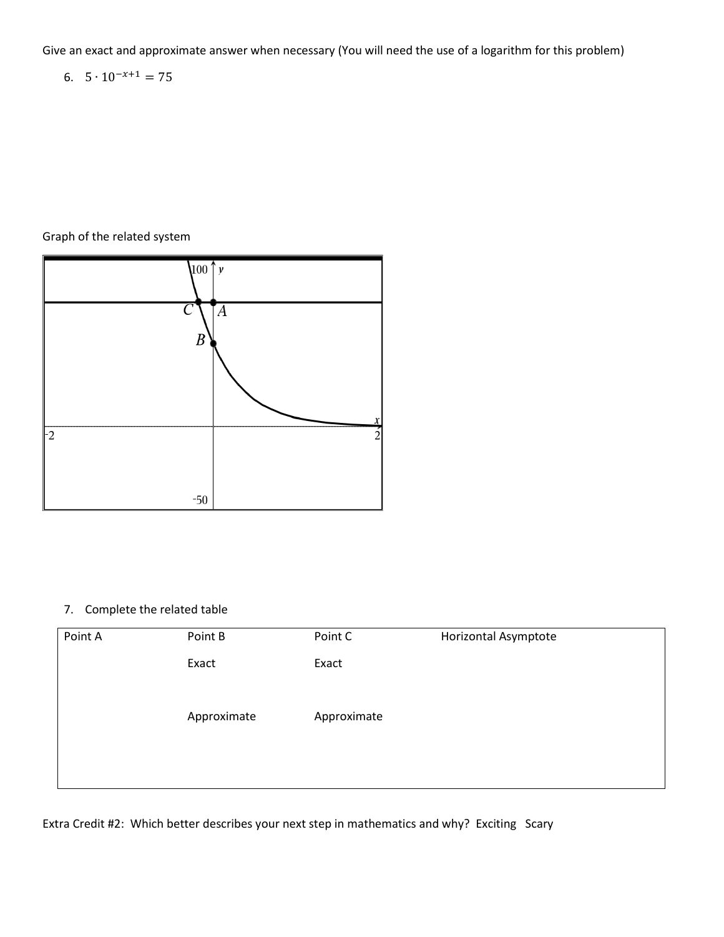6.  $5 \cdot 10^{-x+1} = 75$ 

# Graph of the related system



### 7. Complete the related table

| Horizontal Asymptote | Point C     | Point B     | Point A |
|----------------------|-------------|-------------|---------|
|                      | Exact       | Exact       |         |
|                      |             |             |         |
|                      | Approximate | Approximate |         |
|                      |             |             |         |
|                      |             |             |         |
|                      |             |             |         |

Extra Credit #2: Which better describes your next step in mathematics and why? Exciting Scary